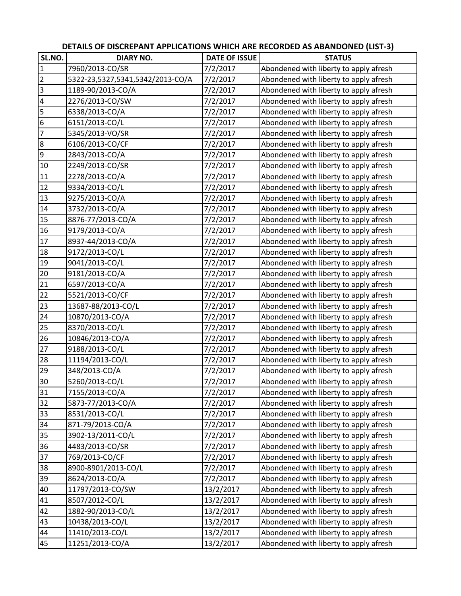|                 |                                  |                      | DETAILS OF DISCREPANT APPLICATIONS WHICH ARE RECORDED AS ABANDONED (LIST-3) |
|-----------------|----------------------------------|----------------------|-----------------------------------------------------------------------------|
| SL.NO.          | <b>DIARY NO.</b>                 | <b>DATE OF ISSUE</b> | <b>STATUS</b>                                                               |
| $\mathbf{1}$    | 7960/2013-CO/SR                  | 7/2/2017             | Abondened with liberty to apply afresh                                      |
| $\overline{2}$  | 5322-23,5327,5341,5342/2013-CO/A | 7/2/2017             | Abondened with liberty to apply afresh                                      |
| $\overline{3}$  | 1189-90/2013-CO/A                | 7/2/2017             | Abondened with liberty to apply afresh                                      |
| $\overline{4}$  | 2276/2013-CO/SW                  | 7/2/2017             | Abondened with liberty to apply afresh                                      |
| $\overline{5}$  | 6338/2013-CO/A                   | 7/2/2017             | Abondened with liberty to apply afresh                                      |
| 6               | 6151/2013-CO/L                   | 7/2/2017             | Abondened with liberty to apply afresh                                      |
| 7               | 5345/2013-VO/SR                  | 7/2/2017             | Abondened with liberty to apply afresh                                      |
| $\bf 8$         | 6106/2013-CO/CF                  | 7/2/2017             | Abondened with liberty to apply afresh                                      |
| $\overline{9}$  | 2843/2013-CO/A                   | 7/2/2017             | Abondened with liberty to apply afresh                                      |
| 10              | 2249/2013-CO/SR                  | 7/2/2017             | Abondened with liberty to apply afresh                                      |
| 11              | 2278/2013-CO/A                   | 7/2/2017             | Abondened with liberty to apply afresh                                      |
| 12              | 9334/2013-CO/L                   | 7/2/2017             | Abondened with liberty to apply afresh                                      |
| 13              | 9275/2013-CO/A                   | 7/2/2017             | Abondened with liberty to apply afresh                                      |
| 14              | 3732/2013-CO/A                   | 7/2/2017             | Abondened with liberty to apply afresh                                      |
| 15              | 8876-77/2013-CO/A                | 7/2/2017             | Abondened with liberty to apply afresh                                      |
| 16              | 9179/2013-CO/A                   | 7/2/2017             | Abondened with liberty to apply afresh                                      |
| 17              | 8937-44/2013-CO/A                | 7/2/2017             | Abondened with liberty to apply afresh                                      |
| 18              | 9172/2013-CO/L                   | 7/2/2017             | Abondened with liberty to apply afresh                                      |
| 19              | 9041/2013-CO/L                   | 7/2/2017             | Abondened with liberty to apply afresh                                      |
| 20              | 9181/2013-CO/A                   | 7/2/2017             | Abondened with liberty to apply afresh                                      |
| 21              | 6597/2013-CO/A                   | 7/2/2017             | Abondened with liberty to apply afresh                                      |
| 22              | 5521/2013-CO/CF                  | 7/2/2017             | Abondened with liberty to apply afresh                                      |
| 23              | 13687-88/2013-CO/L               | 7/2/2017             | Abondened with liberty to apply afresh                                      |
| 24              | 10870/2013-CO/A                  | 7/2/2017             | Abondened with liberty to apply afresh                                      |
| 25              | 8370/2013-CO/L                   | 7/2/2017             | Abondened with liberty to apply afresh                                      |
| 26              | 10846/2013-CO/A                  | 7/2/2017             | Abondened with liberty to apply afresh                                      |
| $\overline{27}$ | 9188/2013-CO/L                   | 7/2/2017             | Abondened with liberty to apply afresh                                      |
| 28              | 11194/2013-CO/L                  | 7/2/2017             | Abondened with liberty to apply afresh                                      |
| 29              | 348/2013-CO/A                    | 7/2/2017             | Abondened with liberty to apply afresh                                      |
| 30              | 5260/2013-CO/L                   | 7/2/2017             | Abondened with liberty to apply afresh                                      |
| 31              | 7155/2013-CO/A                   | 7/2/2017             | Abondened with liberty to apply afresh                                      |
| 32              | 5873-77/2013-CO/A                | 7/2/2017             | Abondened with liberty to apply afresh                                      |
| 33              | 8531/2013-CO/L                   | 7/2/2017             | Abondened with liberty to apply afresh                                      |
| 34              | 871-79/2013-CO/A                 | 7/2/2017             | Abondened with liberty to apply afresh                                      |
| 35              | 3902-13/2011-CO/L                | 7/2/2017             | Abondened with liberty to apply afresh                                      |
| 36              | 4483/2013-CO/SR                  | 7/2/2017             | Abondened with liberty to apply afresh                                      |
| 37              | 769/2013-CO/CF                   | 7/2/2017             | Abondened with liberty to apply afresh                                      |
| 38              | 8900-8901/2013-CO/L              | 7/2/2017             | Abondened with liberty to apply afresh                                      |
| 39              | 8624/2013-CO/A                   | 7/2/2017             | Abondened with liberty to apply afresh                                      |
| 40              | 11797/2013-CO/SW                 | 13/2/2017            | Abondened with liberty to apply afresh                                      |
| 41              | 8507/2012-CO/L                   | 13/2/2017            | Abondened with liberty to apply afresh                                      |
| 42              | 1882-90/2013-CO/L                | 13/2/2017            | Abondened with liberty to apply afresh                                      |
| 43              | 10438/2013-CO/L                  | 13/2/2017            | Abondened with liberty to apply afresh                                      |
| 44              | 11410/2013-CO/L                  | 13/2/2017            | Abondened with liberty to apply afresh                                      |
| 45              | 11251/2013-CO/A                  | 13/2/2017            | Abondened with liberty to apply afresh                                      |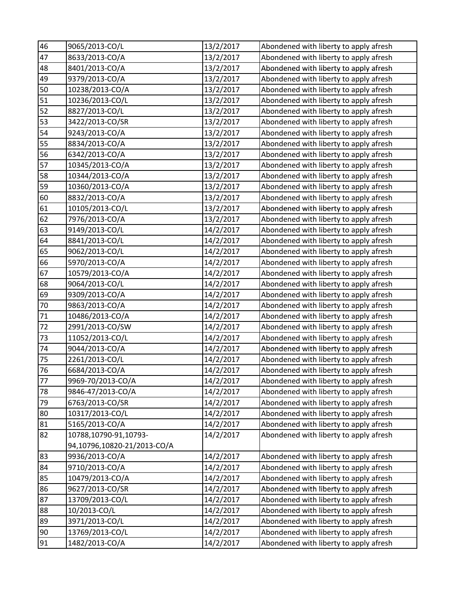| 46     | 9065/2013-CO/L              | 13/2/2017 | Abondened with liberty to apply afresh |
|--------|-----------------------------|-----------|----------------------------------------|
| 47     | 8633/2013-CO/A              | 13/2/2017 | Abondened with liberty to apply afresh |
| 48     | 8401/2013-CO/A              | 13/2/2017 | Abondened with liberty to apply afresh |
| 49     | 9379/2013-CO/A              | 13/2/2017 | Abondened with liberty to apply afresh |
| 50     | 10238/2013-CO/A             | 13/2/2017 | Abondened with liberty to apply afresh |
| 51     | 10236/2013-CO/L             | 13/2/2017 | Abondened with liberty to apply afresh |
| 52     | 8827/2013-CO/L              | 13/2/2017 | Abondened with liberty to apply afresh |
| 53     | 3422/2013-CO/SR             | 13/2/2017 | Abondened with liberty to apply afresh |
| 54     | 9243/2013-CO/A              | 13/2/2017 | Abondened with liberty to apply afresh |
| 55     | 8834/2013-CO/A              | 13/2/2017 | Abondened with liberty to apply afresh |
| 56     | 6342/2013-CO/A              | 13/2/2017 | Abondened with liberty to apply afresh |
| 57     | 10345/2013-CO/A             | 13/2/2017 | Abondened with liberty to apply afresh |
| 58     | 10344/2013-CO/A             | 13/2/2017 | Abondened with liberty to apply afresh |
| 59     | 10360/2013-CO/A             | 13/2/2017 | Abondened with liberty to apply afresh |
| 60     | 8832/2013-CO/A              | 13/2/2017 | Abondened with liberty to apply afresh |
| 61     | 10105/2013-CO/L             | 13/2/2017 | Abondened with liberty to apply afresh |
| 62     | 7976/2013-CO/A              | 13/2/2017 | Abondened with liberty to apply afresh |
| 63     | 9149/2013-CO/L              | 14/2/2017 | Abondened with liberty to apply afresh |
| 64     | 8841/2013-CO/L              | 14/2/2017 | Abondened with liberty to apply afresh |
| 65     | 9062/2013-CO/L              | 14/2/2017 | Abondened with liberty to apply afresh |
| 66     | 5970/2013-CO/A              | 14/2/2017 | Abondened with liberty to apply afresh |
| 67     | 10579/2013-CO/A             | 14/2/2017 | Abondened with liberty to apply afresh |
| 68     | 9064/2013-CO/L              | 14/2/2017 | Abondened with liberty to apply afresh |
| 69     | 9309/2013-CO/A              | 14/2/2017 | Abondened with liberty to apply afresh |
| 70     | 9863/2013-CO/A              | 14/2/2017 | Abondened with liberty to apply afresh |
| $71\,$ | 10486/2013-CO/A             | 14/2/2017 | Abondened with liberty to apply afresh |
| 72     | 2991/2013-CO/SW             | 14/2/2017 | Abondened with liberty to apply afresh |
| 73     | 11052/2013-CO/L             | 14/2/2017 | Abondened with liberty to apply afresh |
| 74     | 9044/2013-CO/A              | 14/2/2017 | Abondened with liberty to apply afresh |
| 75     | 2261/2013-CO/L              | 14/2/2017 | Abondened with liberty to apply afresh |
| 76     | 6684/2013-CO/A              | 14/2/2017 | Abondened with liberty to apply afresh |
| 77     | 9969-70/2013-CO/A           | 14/2/2017 | Abondened with liberty to apply afresh |
| 78     | 9846-47/2013-CO/A           | 14/2/2017 | Abondened with liberty to apply afresh |
| 79     | 6763/2013-CO/SR             | 14/2/2017 | Abondened with liberty to apply afresh |
| 80     | 10317/2013-CO/L             | 14/2/2017 | Abondened with liberty to apply afresh |
| 81     | 5165/2013-CO/A              | 14/2/2017 | Abondened with liberty to apply afresh |
| 82     | 10788,10790-91,10793-       | 14/2/2017 | Abondened with liberty to apply afresh |
|        | 94,10796,10820-21/2013-CO/A |           |                                        |
| 83     | 9936/2013-CO/A              | 14/2/2017 | Abondened with liberty to apply afresh |
| 84     | 9710/2013-CO/A              | 14/2/2017 | Abondened with liberty to apply afresh |
| 85     | 10479/2013-CO/A             | 14/2/2017 | Abondened with liberty to apply afresh |
| 86     | 9627/2013-CO/SR             | 14/2/2017 | Abondened with liberty to apply afresh |
| 87     | 13709/2013-CO/L             | 14/2/2017 | Abondened with liberty to apply afresh |
| 88     | 10/2013-CO/L                | 14/2/2017 | Abondened with liberty to apply afresh |
| 89     | 3971/2013-CO/L              | 14/2/2017 | Abondened with liberty to apply afresh |
| 90     | 13769/2013-CO/L             | 14/2/2017 | Abondened with liberty to apply afresh |
| 91     | 1482/2013-CO/A              | 14/2/2017 | Abondened with liberty to apply afresh |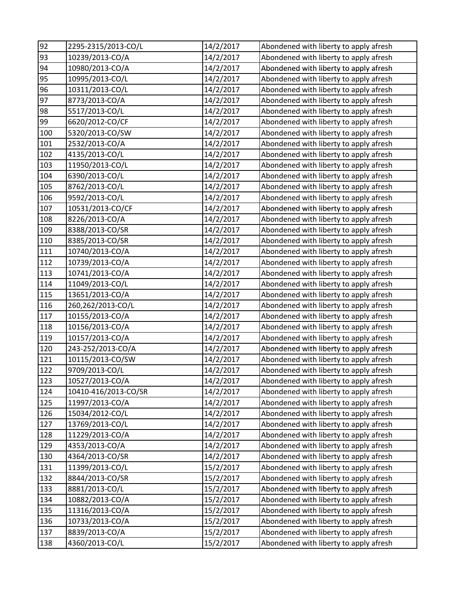| 92  | 2295-2315/2013-CO/L  | 14/2/2017 | Abondened with liberty to apply afresh |
|-----|----------------------|-----------|----------------------------------------|
| 93  | 10239/2013-CO/A      | 14/2/2017 | Abondened with liberty to apply afresh |
| 94  | 10980/2013-CO/A      | 14/2/2017 | Abondened with liberty to apply afresh |
| 95  | 10995/2013-CO/L      | 14/2/2017 | Abondened with liberty to apply afresh |
| 96  | 10311/2013-CO/L      | 14/2/2017 | Abondened with liberty to apply afresh |
| 97  | 8773/2013-CO/A       | 14/2/2017 | Abondened with liberty to apply afresh |
| 98  | 5517/2013-CO/L       | 14/2/2017 | Abondened with liberty to apply afresh |
| 99  | 6620/2012-CO/CF      | 14/2/2017 | Abondened with liberty to apply afresh |
| 100 | 5320/2013-CO/SW      | 14/2/2017 | Abondened with liberty to apply afresh |
| 101 | 2532/2013-CO/A       | 14/2/2017 | Abondened with liberty to apply afresh |
| 102 | 4135/2013-CO/L       | 14/2/2017 | Abondened with liberty to apply afresh |
| 103 | 11950/2013-CO/L      | 14/2/2017 | Abondened with liberty to apply afresh |
| 104 | 6390/2013-CO/L       | 14/2/2017 | Abondened with liberty to apply afresh |
| 105 | 8762/2013-CO/L       | 14/2/2017 | Abondened with liberty to apply afresh |
| 106 | 9592/2013-CO/L       | 14/2/2017 | Abondened with liberty to apply afresh |
| 107 | 10531/2013-CO/CF     | 14/2/2017 | Abondened with liberty to apply afresh |
| 108 | 8226/2013-CO/A       | 14/2/2017 | Abondened with liberty to apply afresh |
| 109 | 8388/2013-CO/SR      | 14/2/2017 | Abondened with liberty to apply afresh |
| 110 | 8385/2013-CO/SR      | 14/2/2017 | Abondened with liberty to apply afresh |
| 111 | 10740/2013-CO/A      | 14/2/2017 | Abondened with liberty to apply afresh |
| 112 | 10739/2013-CO/A      | 14/2/2017 | Abondened with liberty to apply afresh |
| 113 | 10741/2013-CO/A      | 14/2/2017 | Abondened with liberty to apply afresh |
| 114 | 11049/2013-CO/L      | 14/2/2017 | Abondened with liberty to apply afresh |
| 115 | 13651/2013-CO/A      | 14/2/2017 | Abondened with liberty to apply afresh |
| 116 | 260,262/2013-CO/L    | 14/2/2017 | Abondened with liberty to apply afresh |
| 117 | 10155/2013-CO/A      | 14/2/2017 | Abondened with liberty to apply afresh |
| 118 | 10156/2013-CO/A      | 14/2/2017 | Abondened with liberty to apply afresh |
| 119 | 10157/2013-CO/A      | 14/2/2017 | Abondened with liberty to apply afresh |
| 120 | 243-252/2013-CO/A    | 14/2/2017 | Abondened with liberty to apply afresh |
| 121 | 10115/2013-CO/SW     | 14/2/2017 | Abondened with liberty to apply afresh |
| 122 | 9709/2013-CO/L       | 14/2/2017 | Abondened with liberty to apply afresh |
| 123 | 10527/2013-CO/A      | 14/2/2017 | Abondened with liberty to apply afresh |
| 124 | 10410-416/2013-CO/SR | 14/2/2017 | Abondened with liberty to apply afresh |
| 125 | 11997/2013-CO/A      | 14/2/2017 | Abondened with liberty to apply afresh |
| 126 | 15034/2012-CO/L      | 14/2/2017 | Abondened with liberty to apply afresh |
| 127 | 13769/2013-CO/L      | 14/2/2017 | Abondened with liberty to apply afresh |
| 128 | 11229/2013-CO/A      | 14/2/2017 | Abondened with liberty to apply afresh |
| 129 | 4353/2013-CO/A       | 14/2/2017 | Abondened with liberty to apply afresh |
| 130 | 4364/2013-CO/SR      | 14/2/2017 | Abondened with liberty to apply afresh |
| 131 | 11399/2013-CO/L      | 15/2/2017 | Abondened with liberty to apply afresh |
| 132 | 8844/2013-CO/SR      | 15/2/2017 | Abondened with liberty to apply afresh |
| 133 | 8881/2013-CO/L       | 15/2/2017 | Abondened with liberty to apply afresh |
| 134 | 10882/2013-CO/A      | 15/2/2017 | Abondened with liberty to apply afresh |
| 135 | 11316/2013-CO/A      | 15/2/2017 | Abondened with liberty to apply afresh |
| 136 | 10733/2013-CO/A      | 15/2/2017 | Abondened with liberty to apply afresh |
| 137 | 8839/2013-CO/A       | 15/2/2017 | Abondened with liberty to apply afresh |
| 138 | 4360/2013-CO/L       | 15/2/2017 | Abondened with liberty to apply afresh |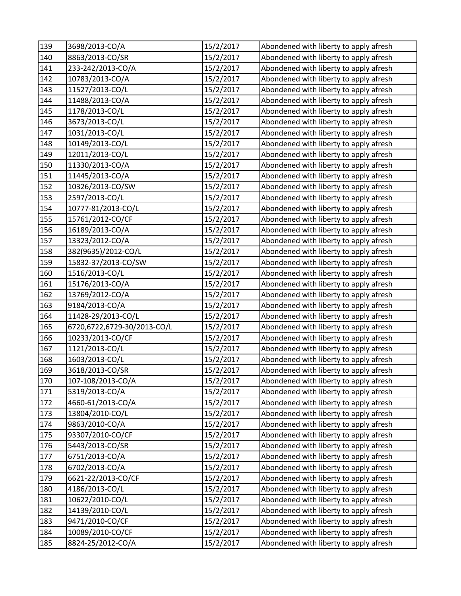| 139 | 3698/2013-CO/A              | 15/2/2017 | Abondened with liberty to apply afresh |
|-----|-----------------------------|-----------|----------------------------------------|
| 140 | 8863/2013-CO/SR             | 15/2/2017 | Abondened with liberty to apply afresh |
| 141 | 233-242/2013-CO/A           | 15/2/2017 | Abondened with liberty to apply afresh |
| 142 | 10783/2013-CO/A             | 15/2/2017 | Abondened with liberty to apply afresh |
| 143 | 11527/2013-CO/L             | 15/2/2017 | Abondened with liberty to apply afresh |
| 144 | 11488/2013-CO/A             | 15/2/2017 | Abondened with liberty to apply afresh |
| 145 | 1178/2013-CO/L              | 15/2/2017 | Abondened with liberty to apply afresh |
| 146 | 3673/2013-CO/L              | 15/2/2017 | Abondened with liberty to apply afresh |
| 147 | 1031/2013-CO/L              | 15/2/2017 | Abondened with liberty to apply afresh |
| 148 | 10149/2013-CO/L             | 15/2/2017 | Abondened with liberty to apply afresh |
| 149 | 12011/2013-CO/L             | 15/2/2017 | Abondened with liberty to apply afresh |
| 150 | 11330/2013-CO/A             | 15/2/2017 | Abondened with liberty to apply afresh |
| 151 | 11445/2013-CO/A             | 15/2/2017 | Abondened with liberty to apply afresh |
| 152 | 10326/2013-CO/SW            | 15/2/2017 | Abondened with liberty to apply afresh |
| 153 | 2597/2013-CO/L              | 15/2/2017 | Abondened with liberty to apply afresh |
| 154 | 10777-81/2013-CO/L          | 15/2/2017 | Abondened with liberty to apply afresh |
| 155 | 15761/2012-CO/CF            | 15/2/2017 | Abondened with liberty to apply afresh |
| 156 | 16189/2013-CO/A             | 15/2/2017 | Abondened with liberty to apply afresh |
| 157 | 13323/2012-CO/A             | 15/2/2017 | Abondened with liberty to apply afresh |
| 158 | 382(9635)/2012-CO/L         | 15/2/2017 | Abondened with liberty to apply afresh |
| 159 | 15832-37/2013-CO/SW         | 15/2/2017 | Abondened with liberty to apply afresh |
| 160 | 1516/2013-CO/L              | 15/2/2017 | Abondened with liberty to apply afresh |
| 161 | 15176/2013-CO/A             | 15/2/2017 | Abondened with liberty to apply afresh |
| 162 | 13769/2012-CO/A             | 15/2/2017 | Abondened with liberty to apply afresh |
| 163 | 9184/2013-CO/A              | 15/2/2017 | Abondened with liberty to apply afresh |
| 164 | 11428-29/2013-CO/L          | 15/2/2017 | Abondened with liberty to apply afresh |
| 165 | 6720,6722,6729-30/2013-CO/L | 15/2/2017 | Abondened with liberty to apply afresh |
| 166 | 10233/2013-CO/CF            | 15/2/2017 | Abondened with liberty to apply afresh |
| 167 | 1121/2013-CO/L              | 15/2/2017 | Abondened with liberty to apply afresh |
| 168 | 1603/2013-CO/L              | 15/2/2017 | Abondened with liberty to apply afresh |
| 169 | 3618/2013-CO/SR             | 15/2/2017 | Abondened with liberty to apply afresh |
| 170 | 107-108/2013-CO/A           | 15/2/2017 | Abondened with liberty to apply afresh |
| 171 | 5319/2013-CO/A              | 15/2/2017 | Abondened with liberty to apply afresh |
| 172 | 4660-61/2013-CO/A           | 15/2/2017 | Abondened with liberty to apply afresh |
| 173 | 13804/2010-CO/L             | 15/2/2017 | Abondened with liberty to apply afresh |
| 174 | 9863/2010-CO/A              | 15/2/2017 | Abondened with liberty to apply afresh |
| 175 | 93307/2010-CO/CF            | 15/2/2017 | Abondened with liberty to apply afresh |
| 176 | 5443/2013-CO/SR             | 15/2/2017 | Abondened with liberty to apply afresh |
| 177 | 6751/2013-CO/A              | 15/2/2017 | Abondened with liberty to apply afresh |
| 178 | 6702/2013-CO/A              | 15/2/2017 | Abondened with liberty to apply afresh |
| 179 | 6621-22/2013-CO/CF          | 15/2/2017 | Abondened with liberty to apply afresh |
| 180 | 4186/2013-CO/L              | 15/2/2017 | Abondened with liberty to apply afresh |
| 181 | 10622/2010-CO/L             | 15/2/2017 | Abondened with liberty to apply afresh |
| 182 | 14139/2010-CO/L             | 15/2/2017 | Abondened with liberty to apply afresh |
| 183 | 9471/2010-CO/CF             | 15/2/2017 | Abondened with liberty to apply afresh |
| 184 | 10089/2010-CO/CF            | 15/2/2017 | Abondened with liberty to apply afresh |
| 185 | 8824-25/2012-CO/A           | 15/2/2017 | Abondened with liberty to apply afresh |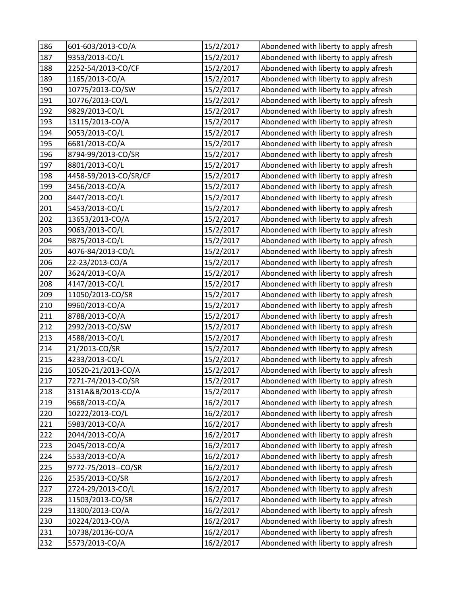| 186 | 601-603/2013-CO/A     | 15/2/2017 | Abondened with liberty to apply afresh |
|-----|-----------------------|-----------|----------------------------------------|
| 187 | 9353/2013-CO/L        | 15/2/2017 | Abondened with liberty to apply afresh |
| 188 | 2252-54/2013-CO/CF    | 15/2/2017 | Abondened with liberty to apply afresh |
| 189 | 1165/2013-CO/A        | 15/2/2017 | Abondened with liberty to apply afresh |
| 190 | 10775/2013-CO/SW      | 15/2/2017 | Abondened with liberty to apply afresh |
| 191 | 10776/2013-CO/L       | 15/2/2017 | Abondened with liberty to apply afresh |
| 192 | 9829/2013-CO/L        | 15/2/2017 | Abondened with liberty to apply afresh |
| 193 | 13115/2013-CO/A       | 15/2/2017 | Abondened with liberty to apply afresh |
| 194 | 9053/2013-CO/L        | 15/2/2017 | Abondened with liberty to apply afresh |
| 195 | 6681/2013-CO/A        | 15/2/2017 | Abondened with liberty to apply afresh |
| 196 | 8794-99/2013-CO/SR    | 15/2/2017 | Abondened with liberty to apply afresh |
| 197 | 8801/2013-CO/L        | 15/2/2017 | Abondened with liberty to apply afresh |
| 198 | 4458-59/2013-CO/SR/CF | 15/2/2017 | Abondened with liberty to apply afresh |
| 199 | 3456/2013-CO/A        | 15/2/2017 | Abondened with liberty to apply afresh |
| 200 | 8447/2013-CO/L        | 15/2/2017 | Abondened with liberty to apply afresh |
| 201 | 5453/2013-CO/L        | 15/2/2017 | Abondened with liberty to apply afresh |
| 202 | 13653/2013-CO/A       | 15/2/2017 | Abondened with liberty to apply afresh |
| 203 | 9063/2013-CO/L        | 15/2/2017 | Abondened with liberty to apply afresh |
| 204 | 9875/2013-CO/L        | 15/2/2017 | Abondened with liberty to apply afresh |
| 205 | 4076-84/2013-CO/L     | 15/2/2017 | Abondened with liberty to apply afresh |
| 206 | 22-23/2013-CO/A       | 15/2/2017 | Abondened with liberty to apply afresh |
| 207 | 3624/2013-CO/A        | 15/2/2017 | Abondened with liberty to apply afresh |
| 208 | 4147/2013-CO/L        | 15/2/2017 | Abondened with liberty to apply afresh |
| 209 | 11050/2013-CO/SR      | 15/2/2017 | Abondened with liberty to apply afresh |
| 210 | 9960/2013-CO/A        | 15/2/2017 | Abondened with liberty to apply afresh |
| 211 | 8788/2013-CO/A        | 15/2/2017 | Abondened with liberty to apply afresh |
| 212 | 2992/2013-CO/SW       | 15/2/2017 | Abondened with liberty to apply afresh |
| 213 | 4588/2013-CO/L        | 15/2/2017 | Abondened with liberty to apply afresh |
| 214 | 21/2013-CO/SR         | 15/2/2017 | Abondened with liberty to apply afresh |
| 215 | 4233/2013-CO/L        | 15/2/2017 | Abondened with liberty to apply afresh |
| 216 | 10520-21/2013-CO/A    | 15/2/2017 | Abondened with liberty to apply afresh |
| 217 | 7271-74/2013-CO/SR    | 15/2/2017 | Abondened with liberty to apply afresh |
| 218 | 3131A&B/2013-CO/A     | 15/2/2017 | Abondened with liberty to apply afresh |
| 219 | 9668/2013-CO/A        | 16/2/2017 | Abondened with liberty to apply afresh |
| 220 | 10222/2013-CO/L       | 16/2/2017 | Abondened with liberty to apply afresh |
| 221 | 5983/2013-CO/A        | 16/2/2017 | Abondened with liberty to apply afresh |
| 222 | 2044/2013-CO/A        | 16/2/2017 | Abondened with liberty to apply afresh |
| 223 | 2045/2013-CO/A        | 16/2/2017 | Abondened with liberty to apply afresh |
| 224 | 5533/2013-CO/A        | 16/2/2017 | Abondened with liberty to apply afresh |
| 225 | 9772-75/2013--CO/SR   | 16/2/2017 | Abondened with liberty to apply afresh |
| 226 | 2535/2013-CO/SR       | 16/2/2017 | Abondened with liberty to apply afresh |
| 227 | 2724-29/2013-CO/L     | 16/2/2017 | Abondened with liberty to apply afresh |
| 228 | 11503/2013-CO/SR      | 16/2/2017 | Abondened with liberty to apply afresh |
| 229 | 11300/2013-CO/A       | 16/2/2017 | Abondened with liberty to apply afresh |
| 230 | 10224/2013-CO/A       | 16/2/2017 | Abondened with liberty to apply afresh |
| 231 | 10738/20136-CO/A      | 16/2/2017 | Abondened with liberty to apply afresh |
| 232 | 5573/2013-CO/A        | 16/2/2017 | Abondened with liberty to apply afresh |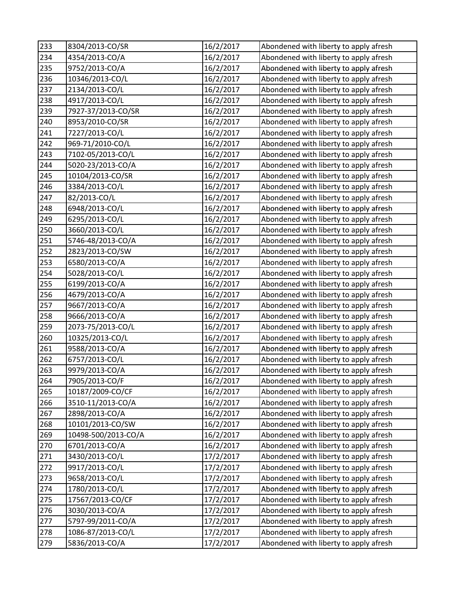| 233        | 8304/2013-CO/SR                        | 16/2/2017              | Abondened with liberty to apply afresh                                           |
|------------|----------------------------------------|------------------------|----------------------------------------------------------------------------------|
| 234        | 4354/2013-CO/A                         | 16/2/2017              | Abondened with liberty to apply afresh                                           |
| 235        | 9752/2013-CO/A                         | 16/2/2017              | Abondened with liberty to apply afresh                                           |
| 236        | 10346/2013-CO/L                        | 16/2/2017              | Abondened with liberty to apply afresh                                           |
| 237        | 2134/2013-CO/L                         | 16/2/2017              | Abondened with liberty to apply afresh                                           |
| 238        | 4917/2013-CO/L                         | 16/2/2017              | Abondened with liberty to apply afresh                                           |
| 239        | 7927-37/2013-CO/SR                     | 16/2/2017              | Abondened with liberty to apply afresh                                           |
| 240        | 8953/2010-CO/SR                        | 16/2/2017              | Abondened with liberty to apply afresh                                           |
| 241        | 7227/2013-CO/L                         | 16/2/2017              | Abondened with liberty to apply afresh                                           |
| 242        | 969-71/2010-CO/L                       | 16/2/2017              | Abondened with liberty to apply afresh                                           |
| 243        | 7102-05/2013-CO/L                      | 16/2/2017              | Abondened with liberty to apply afresh                                           |
| 244        | 5020-23/2013-CO/A                      | 16/2/2017              | Abondened with liberty to apply afresh                                           |
| 245        | 10104/2013-CO/SR                       | 16/2/2017              | Abondened with liberty to apply afresh                                           |
| 246        | 3384/2013-CO/L                         | 16/2/2017              | Abondened with liberty to apply afresh                                           |
| 247        | 82/2013-CO/L                           | 16/2/2017              | Abondened with liberty to apply afresh                                           |
| 248        | 6948/2013-CO/L                         | 16/2/2017              | Abondened with liberty to apply afresh                                           |
| 249        | 6295/2013-CO/L                         | 16/2/2017              | Abondened with liberty to apply afresh                                           |
| 250        | 3660/2013-CO/L                         | 16/2/2017              | Abondened with liberty to apply afresh                                           |
| 251        | 5746-48/2013-CO/A                      | 16/2/2017              | Abondened with liberty to apply afresh                                           |
| 252        | 2823/2013-CO/SW                        | 16/2/2017              | Abondened with liberty to apply afresh                                           |
| 253        | 6580/2013-CO/A                         | 16/2/2017              | Abondened with liberty to apply afresh                                           |
| 254        | 5028/2013-CO/L                         | 16/2/2017              | Abondened with liberty to apply afresh                                           |
| 255        | 6199/2013-CO/A                         | 16/2/2017              | Abondened with liberty to apply afresh                                           |
| 256        | 4679/2013-CO/A                         | 16/2/2017              | Abondened with liberty to apply afresh                                           |
| 257        | 9667/2013-CO/A                         | 16/2/2017              | Abondened with liberty to apply afresh                                           |
| 258        | 9666/2013-CO/A                         | 16/2/2017              | Abondened with liberty to apply afresh                                           |
| 259        | 2073-75/2013-CO/L                      | 16/2/2017              | Abondened with liberty to apply afresh                                           |
| 260        | 10325/2013-CO/L                        | 16/2/2017              | Abondened with liberty to apply afresh                                           |
| 261        | 9588/2013-CO/A                         | 16/2/2017              | Abondened with liberty to apply afresh                                           |
| 262        | 6757/2013-CO/L                         | 16/2/2017              | Abondened with liberty to apply afresh                                           |
| 263        | 9979/2013-CO/A                         | 16/2/2017              | Abondened with liberty to apply afresh                                           |
| 264        | 7905/2013-CO/F                         | 16/2/2017              | Abondened with liberty to apply afresh                                           |
| 265        | 10187/2009-CO/CF                       | 16/2/2017              | Abondened with liberty to apply afresh                                           |
| 266        | 3510-11/2013-CO/A                      | 16/2/2017              | Abondened with liberty to apply afresh                                           |
| 267        | 2898/2013-CO/A                         | 16/2/2017              | Abondened with liberty to apply afresh                                           |
| 268        | 10101/2013-CO/SW                       | 16/2/2017              | Abondened with liberty to apply afresh                                           |
| 269        | 10498-500/2013-CO/A                    | 16/2/2017              | Abondened with liberty to apply afresh                                           |
| 270        | 6701/2013-CO/A                         | 16/2/2017              | Abondened with liberty to apply afresh                                           |
| 271        | 3430/2013-CO/L                         | 17/2/2017              | Abondened with liberty to apply afresh                                           |
| 272        | 9917/2013-CO/L                         | 17/2/2017              | Abondened with liberty to apply afresh                                           |
| 273        | 9658/2013-CO/L                         | 17/2/2017              | Abondened with liberty to apply afresh                                           |
| 274<br>275 | 1780/2013-CO/L<br>17567/2013-CO/CF     | 17/2/2017<br>17/2/2017 | Abondened with liberty to apply afresh<br>Abondened with liberty to apply afresh |
|            |                                        |                        |                                                                                  |
| 276<br>277 | 3030/2013-CO/A                         | 17/2/2017              | Abondened with liberty to apply afresh<br>Abondened with liberty to apply afresh |
| 278        | 5797-99/2011-CO/A<br>1086-87/2013-CO/L | 17/2/2017              | Abondened with liberty to apply afresh                                           |
|            |                                        | 17/2/2017              |                                                                                  |
| 279        | 5836/2013-CO/A                         | 17/2/2017              | Abondened with liberty to apply afresh                                           |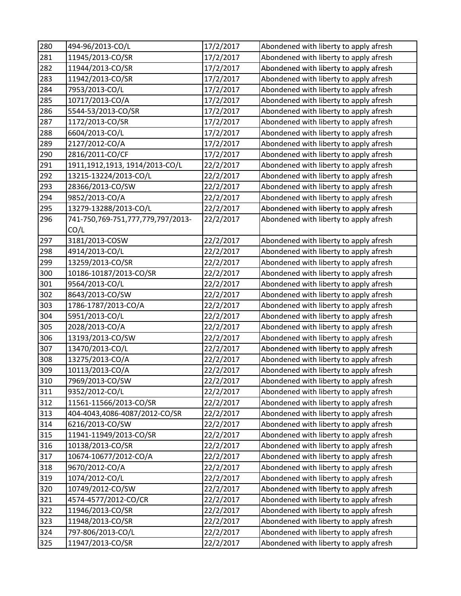| 280 | 494-96/2013-CO/L                  | 17/2/2017 | Abondened with liberty to apply afresh |
|-----|-----------------------------------|-----------|----------------------------------------|
| 281 | 11945/2013-CO/SR                  | 17/2/2017 | Abondened with liberty to apply afresh |
| 282 | 11944/2013-CO/SR                  | 17/2/2017 | Abondened with liberty to apply afresh |
| 283 | 11942/2013-CO/SR                  | 17/2/2017 | Abondened with liberty to apply afresh |
| 284 | 7953/2013-CO/L                    | 17/2/2017 | Abondened with liberty to apply afresh |
| 285 | 10717/2013-CO/A                   | 17/2/2017 | Abondened with liberty to apply afresh |
| 286 | 5544-53/2013-CO/SR                | 17/2/2017 | Abondened with liberty to apply afresh |
| 287 | 1172/2013-CO/SR                   | 17/2/2017 | Abondened with liberty to apply afresh |
| 288 | 6604/2013-CO/L                    | 17/2/2017 | Abondened with liberty to apply afresh |
| 289 | 2127/2012-CO/A                    | 17/2/2017 | Abondened with liberty to apply afresh |
| 290 | 2816/2011-CO/CF                   | 17/2/2017 | Abondened with liberty to apply afresh |
| 291 | 1911,1912,1913, 1914/2013-CO/L    | 22/2/2017 | Abondened with liberty to apply afresh |
| 292 | 13215-13224/2013-CO/L             | 22/2/2017 | Abondened with liberty to apply afresh |
| 293 | 28366/2013-CO/SW                  | 22/2/2017 | Abondened with liberty to apply afresh |
| 294 | 9852/2013-CO/A                    | 22/2/2017 | Abondened with liberty to apply afresh |
| 295 | 13279-13288/2013-CO/L             | 22/2/2017 | Abondened with liberty to apply afresh |
| 296 | 741-750,769-751,777,779,797/2013- | 22/2/2017 | Abondened with liberty to apply afresh |
|     | CO/L                              |           |                                        |
| 297 | 3181/2013-COSW                    | 22/2/2017 | Abondened with liberty to apply afresh |
| 298 | 4914/2013-CO/L                    | 22/2/2017 | Abondened with liberty to apply afresh |
| 299 | 13259/2013-CO/SR                  | 22/2/2017 | Abondened with liberty to apply afresh |
| 300 | 10186-10187/2013-CO/SR            | 22/2/2017 | Abondened with liberty to apply afresh |
| 301 | 9564/2013-CO/L                    | 22/2/2017 | Abondened with liberty to apply afresh |
| 302 | 8643/2013-CO/SW                   | 22/2/2017 | Abondened with liberty to apply afresh |
| 303 | 1786-1787/2013-CO/A               | 22/2/2017 | Abondened with liberty to apply afresh |
| 304 | 5951/2013-CO/L                    | 22/2/2017 | Abondened with liberty to apply afresh |
| 305 | 2028/2013-CO/A                    | 22/2/2017 | Abondened with liberty to apply afresh |
| 306 | 13193/2013-CO/SW                  | 22/2/2017 | Abondened with liberty to apply afresh |
| 307 | 13470/2013-CO/L                   | 22/2/2017 | Abondened with liberty to apply afresh |
| 308 | 13275/2013-CO/A                   | 22/2/2017 | Abondened with liberty to apply afresh |
| 309 | 10113/2013-CO/A                   | 22/2/2017 | Abondened with liberty to apply afresh |
| 310 | 7969/2013-CO/SW                   | 22/2/2017 | Abondened with liberty to apply afresh |
| 311 | 9352/2012-CO/L                    | 22/2/2017 | Abondened with liberty to apply afresh |
| 312 | 11561-11566/2013-CO/SR            | 22/2/2017 | Abondened with liberty to apply afresh |
| 313 | 404-4043,4086-4087/2012-CO/SR     | 22/2/2017 | Abondened with liberty to apply afresh |
| 314 | 6216/2013-CO/SW                   | 22/2/2017 | Abondened with liberty to apply afresh |
| 315 | 11941-11949/2013-CO/SR            | 22/2/2017 | Abondened with liberty to apply afresh |
| 316 | 10138/2013-CO/SR                  | 22/2/2017 | Abondened with liberty to apply afresh |
| 317 | 10674-10677/2012-CO/A             | 22/2/2017 | Abondened with liberty to apply afresh |
| 318 | 9670/2012-CO/A                    | 22/2/2017 | Abondened with liberty to apply afresh |
| 319 | 1074/2012-CO/L                    | 22/2/2017 | Abondened with liberty to apply afresh |
| 320 | 10749/2012-CO/SW                  | 22/2/2017 | Abondened with liberty to apply afresh |
| 321 | 4574-4577/2012-CO/CR              | 22/2/2017 | Abondened with liberty to apply afresh |
| 322 | 11946/2013-CO/SR                  | 22/2/2017 | Abondened with liberty to apply afresh |
| 323 | 11948/2013-CO/SR                  | 22/2/2017 | Abondened with liberty to apply afresh |
| 324 | 797-806/2013-CO/L                 | 22/2/2017 | Abondened with liberty to apply afresh |
| 325 | 11947/2013-CO/SR                  | 22/2/2017 | Abondened with liberty to apply afresh |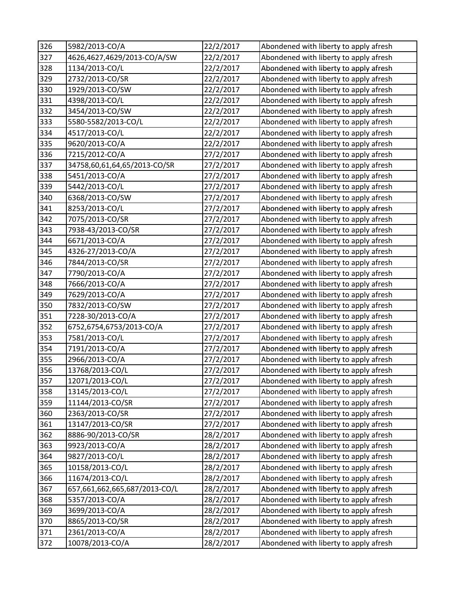| 326 | 5982/2013-CO/A                | 22/2/2017 | Abondened with liberty to apply afresh |
|-----|-------------------------------|-----------|----------------------------------------|
| 327 | 4626,4627,4629/2013-CO/A/SW   | 22/2/2017 | Abondened with liberty to apply afresh |
| 328 | 1134/2013-CO/L                | 22/2/2017 | Abondened with liberty to apply afresh |
| 329 | 2732/2013-CO/SR               | 22/2/2017 | Abondened with liberty to apply afresh |
| 330 | 1929/2013-CO/SW               | 22/2/2017 | Abondened with liberty to apply afresh |
| 331 | 4398/2013-CO/L                | 22/2/2017 | Abondened with liberty to apply afresh |
| 332 | 3454/2013-CO/SW               | 22/2/2017 | Abondened with liberty to apply afresh |
| 333 | 5580-5582/2013-CO/L           | 22/2/2017 | Abondened with liberty to apply afresh |
| 334 | 4517/2013-CO/L                | 22/2/2017 | Abondened with liberty to apply afresh |
| 335 | 9620/2013-CO/A                | 22/2/2017 | Abondened with liberty to apply afresh |
| 336 | 7215/2012-CO/A                | 27/2/2017 | Abondened with liberty to apply afresh |
| 337 | 34758,60,61,64,65/2013-CO/SR  | 27/2/2017 | Abondened with liberty to apply afresh |
| 338 | 5451/2013-CO/A                | 27/2/2017 | Abondened with liberty to apply afresh |
| 339 | 5442/2013-CO/L                | 27/2/2017 | Abondened with liberty to apply afresh |
| 340 | 6368/2013-CO/SW               | 27/2/2017 | Abondened with liberty to apply afresh |
| 341 | 8253/2013-CO/L                | 27/2/2017 | Abondened with liberty to apply afresh |
| 342 | 7075/2013-CO/SR               | 27/2/2017 | Abondened with liberty to apply afresh |
| 343 | 7938-43/2013-CO/SR            | 27/2/2017 | Abondened with liberty to apply afresh |
| 344 | 6671/2013-CO/A                | 27/2/2017 | Abondened with liberty to apply afresh |
| 345 | 4326-27/2013-CO/A             | 27/2/2017 | Abondened with liberty to apply afresh |
| 346 | 7844/2013-CO/SR               | 27/2/2017 | Abondened with liberty to apply afresh |
| 347 | 7790/2013-CO/A                | 27/2/2017 | Abondened with liberty to apply afresh |
| 348 | 7666/2013-CO/A                | 27/2/2017 | Abondened with liberty to apply afresh |
| 349 | 7629/2013-CO/A                | 27/2/2017 | Abondened with liberty to apply afresh |
| 350 | 7832/2013-CO/SW               | 27/2/2017 | Abondened with liberty to apply afresh |
| 351 | 7228-30/2013-CO/A             | 27/2/2017 | Abondened with liberty to apply afresh |
| 352 | 6752,6754,6753/2013-CO/A      | 27/2/2017 | Abondened with liberty to apply afresh |
| 353 | 7581/2013-CO/L                | 27/2/2017 | Abondened with liberty to apply afresh |
| 354 | 7191/2013-CO/A                | 27/2/2017 | Abondened with liberty to apply afresh |
| 355 | 2966/2013-CO/A                | 27/2/2017 | Abondened with liberty to apply afresh |
| 356 | 13768/2013-CO/L               | 27/2/2017 | Abondened with liberty to apply afresh |
| 357 | 12071/2013-CO/L               | 27/2/2017 | Abondened with liberty to apply afresh |
| 358 | 13145/2013-CO/L               | 27/2/2017 | Abondened with liberty to apply afresh |
| 359 | 11144/2013-CO/SR              | 27/2/2017 | Abondened with liberty to apply afresh |
| 360 | 2363/2013-CO/SR               | 27/2/2017 | Abondened with liberty to apply afresh |
| 361 | 13147/2013-CO/SR              | 27/2/2017 | Abondened with liberty to apply afresh |
| 362 | 8886-90/2013-CO/SR            | 28/2/2017 | Abondened with liberty to apply afresh |
| 363 | 9923/2013-CO/A                | 28/2/2017 | Abondened with liberty to apply afresh |
| 364 | 9827/2013-CO/L                | 28/2/2017 | Abondened with liberty to apply afresh |
| 365 | 10158/2013-CO/L               | 28/2/2017 | Abondened with liberty to apply afresh |
| 366 | 11674/2013-CO/L               | 28/2/2017 | Abondened with liberty to apply afresh |
| 367 | 657,661,662,665,687/2013-CO/L | 28/2/2017 | Abondened with liberty to apply afresh |
| 368 | 5357/2013-CO/A                | 28/2/2017 | Abondened with liberty to apply afresh |
| 369 | 3699/2013-CO/A                | 28/2/2017 | Abondened with liberty to apply afresh |
| 370 | 8865/2013-CO/SR               | 28/2/2017 | Abondened with liberty to apply afresh |
| 371 | 2361/2013-CO/A                | 28/2/2017 | Abondened with liberty to apply afresh |
| 372 | 10078/2013-CO/A               | 28/2/2017 | Abondened with liberty to apply afresh |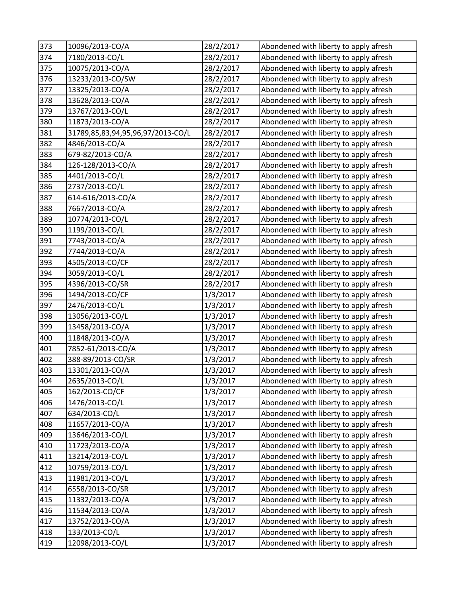| 373 | 10096/2013-CO/A                   | 28/2/2017 | Abondened with liberty to apply afresh |
|-----|-----------------------------------|-----------|----------------------------------------|
| 374 | 7180/2013-CO/L                    | 28/2/2017 | Abondened with liberty to apply afresh |
| 375 | 10075/2013-CO/A                   | 28/2/2017 | Abondened with liberty to apply afresh |
| 376 | 13233/2013-CO/SW                  | 28/2/2017 | Abondened with liberty to apply afresh |
| 377 | 13325/2013-CO/A                   | 28/2/2017 | Abondened with liberty to apply afresh |
| 378 | 13628/2013-CO/A                   | 28/2/2017 | Abondened with liberty to apply afresh |
| 379 | 13767/2013-CO/L                   | 28/2/2017 | Abondened with liberty to apply afresh |
| 380 | 11873/2013-CO/A                   | 28/2/2017 | Abondened with liberty to apply afresh |
| 381 | 31789,85,83,94,95,96,97/2013-CO/L | 28/2/2017 | Abondened with liberty to apply afresh |
| 382 | 4846/2013-CO/A                    | 28/2/2017 | Abondened with liberty to apply afresh |
| 383 | 679-82/2013-CO/A                  | 28/2/2017 | Abondened with liberty to apply afresh |
| 384 | 126-128/2013-CO/A                 | 28/2/2017 | Abondened with liberty to apply afresh |
| 385 | 4401/2013-CO/L                    | 28/2/2017 | Abondened with liberty to apply afresh |
| 386 | 2737/2013-CO/L                    | 28/2/2017 | Abondened with liberty to apply afresh |
| 387 | 614-616/2013-CO/A                 | 28/2/2017 | Abondened with liberty to apply afresh |
| 388 | 7667/2013-CO/A                    | 28/2/2017 | Abondened with liberty to apply afresh |
| 389 | 10774/2013-CO/L                   | 28/2/2017 | Abondened with liberty to apply afresh |
| 390 | 1199/2013-CO/L                    | 28/2/2017 | Abondened with liberty to apply afresh |
| 391 | 7743/2013-CO/A                    | 28/2/2017 | Abondened with liberty to apply afresh |
| 392 | 7744/2013-CO/A                    | 28/2/2017 | Abondened with liberty to apply afresh |
| 393 | 4505/2013-CO/CF                   | 28/2/2017 | Abondened with liberty to apply afresh |
| 394 | 3059/2013-CO/L                    | 28/2/2017 | Abondened with liberty to apply afresh |
| 395 | 4396/2013-CO/SR                   | 28/2/2017 | Abondened with liberty to apply afresh |
| 396 | 1494/2013-CO/CF                   | 1/3/2017  | Abondened with liberty to apply afresh |
| 397 | 2476/2013-CO/L                    | 1/3/2017  | Abondened with liberty to apply afresh |
| 398 | 13056/2013-CO/L                   | 1/3/2017  | Abondened with liberty to apply afresh |
| 399 | 13458/2013-CO/A                   | 1/3/2017  | Abondened with liberty to apply afresh |
| 400 | 11848/2013-CO/A                   | 1/3/2017  | Abondened with liberty to apply afresh |
| 401 | 7852-61/2013-CO/A                 | 1/3/2017  | Abondened with liberty to apply afresh |
| 402 | 388-89/2013-CO/SR                 | 1/3/2017  | Abondened with liberty to apply afresh |
| 403 | 13301/2013-CO/A                   | 1/3/2017  | Abondened with liberty to apply afresh |
| 404 | 2635/2013-CO/L                    | 1/3/2017  | Abondened with liberty to apply afresh |
| 405 | 162/2013-CO/CF                    | 1/3/2017  | Abondened with liberty to apply afresh |
| 406 | 1476/2013-CO/L                    | 1/3/2017  | Abondened with liberty to apply afresh |
| 407 | 634/2013-CO/L                     | 1/3/2017  | Abondened with liberty to apply afresh |
| 408 | 11657/2013-CO/A                   | 1/3/2017  | Abondened with liberty to apply afresh |
| 409 | 13646/2013-CO/L                   | 1/3/2017  | Abondened with liberty to apply afresh |
| 410 | 11723/2013-CO/A                   | 1/3/2017  | Abondened with liberty to apply afresh |
| 411 | 13214/2013-CO/L                   | 1/3/2017  | Abondened with liberty to apply afresh |
| 412 | 10759/2013-CO/L                   | 1/3/2017  | Abondened with liberty to apply afresh |
| 413 | 11981/2013-CO/L                   | 1/3/2017  | Abondened with liberty to apply afresh |
| 414 | 6558/2013-CO/SR                   | 1/3/2017  | Abondened with liberty to apply afresh |
| 415 | 11332/2013-CO/A                   | 1/3/2017  | Abondened with liberty to apply afresh |
| 416 | 11534/2013-CO/A                   | 1/3/2017  | Abondened with liberty to apply afresh |
| 417 | 13752/2013-CO/A                   | 1/3/2017  | Abondened with liberty to apply afresh |
| 418 | 133/2013-CO/L                     | 1/3/2017  | Abondened with liberty to apply afresh |
| 419 | 12098/2013-CO/L                   | 1/3/2017  | Abondened with liberty to apply afresh |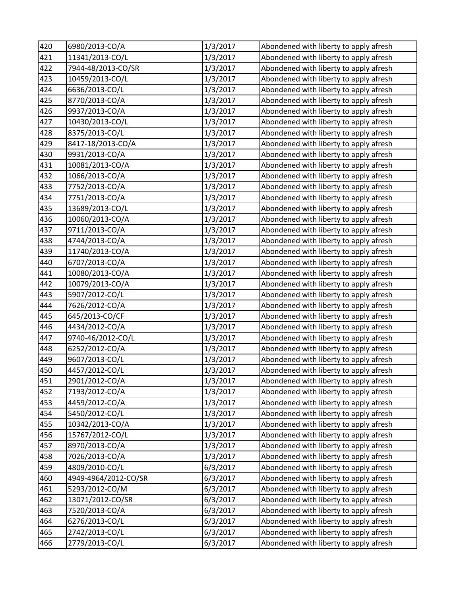| 420 | 6980/2013-CO/A       | 1/3/2017 | Abondened with liberty to apply afresh |
|-----|----------------------|----------|----------------------------------------|
| 421 | 11341/2013-CO/L      | 1/3/2017 | Abondened with liberty to apply afresh |
| 422 | 7944-48/2013-CO/SR   | 1/3/2017 | Abondened with liberty to apply afresh |
| 423 | 10459/2013-CO/L      | 1/3/2017 | Abondened with liberty to apply afresh |
| 424 | 6636/2013-CO/L       | 1/3/2017 | Abondened with liberty to apply afresh |
| 425 | 8770/2013-CO/A       | 1/3/2017 | Abondened with liberty to apply afresh |
| 426 | 9937/2013-CO/A       | 1/3/2017 | Abondened with liberty to apply afresh |
| 427 | 10430/2013-CO/L      | 1/3/2017 | Abondened with liberty to apply afresh |
| 428 | 8375/2013-CO/L       | 1/3/2017 | Abondened with liberty to apply afresh |
| 429 | 8417-18/2013-CO/A    | 1/3/2017 | Abondened with liberty to apply afresh |
| 430 | 9931/2013-CO/A       | 1/3/2017 | Abondened with liberty to apply afresh |
| 431 | 10081/2013-CO/A      | 1/3/2017 | Abondened with liberty to apply afresh |
| 432 | 1066/2013-CO/A       | 1/3/2017 | Abondened with liberty to apply afresh |
| 433 | 7752/2013-CO/A       | 1/3/2017 | Abondened with liberty to apply afresh |
| 434 | 7751/2013-CO/A       | 1/3/2017 | Abondened with liberty to apply afresh |
| 435 | 13689/2013-CO/L      | 1/3/2017 | Abondened with liberty to apply afresh |
| 436 | 10060/2013-CO/A      | 1/3/2017 | Abondened with liberty to apply afresh |
| 437 | 9711/2013-CO/A       | 1/3/2017 | Abondened with liberty to apply afresh |
| 438 | 4744/2013-CO/A       | 1/3/2017 | Abondened with liberty to apply afresh |
| 439 | 11740/2013-CO/A      | 1/3/2017 | Abondened with liberty to apply afresh |
| 440 | 6707/2013-CO/A       | 1/3/2017 | Abondened with liberty to apply afresh |
| 441 | 10080/2013-CO/A      | 1/3/2017 | Abondened with liberty to apply afresh |
| 442 | 10079/2013-CO/A      | 1/3/2017 | Abondened with liberty to apply afresh |
| 443 | 5907/2012-CO/L       | 1/3/2017 | Abondened with liberty to apply afresh |
| 444 | 7626/2012-CO/A       | 1/3/2017 | Abondened with liberty to apply afresh |
| 445 | 645/2013-CO/CF       | 1/3/2017 | Abondened with liberty to apply afresh |
| 446 | 4434/2012-CO/A       | 1/3/2017 | Abondened with liberty to apply afresh |
| 447 | 9740-46/2012-CO/L    | 1/3/2017 | Abondened with liberty to apply afresh |
| 448 | 6252/2012-CO/A       | 1/3/2017 | Abondened with liberty to apply afresh |
| 449 | 9607/2013-CO/L       | 1/3/2017 | Abondened with liberty to apply afresh |
| 450 | 4457/2012-CO/L       | 1/3/2017 | Abondened with liberty to apply afresh |
| 451 | 2901/2012-CO/A       | 1/3/2017 | Abondened with liberty to apply afresh |
| 452 | 7193/2012-CO/A       | 1/3/2017 | Abondened with liberty to apply afresh |
| 453 | 4459/2012-CO/A       | 1/3/2017 | Abondened with liberty to apply afresh |
| 454 | 5450/2012-CO/L       | 1/3/2017 | Abondened with liberty to apply afresh |
| 455 | 10342/2013-CO/A      | 1/3/2017 | Abondened with liberty to apply afresh |
| 456 | 15767/2012-CO/L      | 1/3/2017 | Abondened with liberty to apply afresh |
| 457 | 8970/2013-CO/A       | 1/3/2017 | Abondened with liberty to apply afresh |
| 458 | 7026/2013-CO/A       | 1/3/2017 | Abondened with liberty to apply afresh |
| 459 | 4809/2010-CO/L       | 6/3/2017 | Abondened with liberty to apply afresh |
| 460 | 4949-4964/2012-CO/SR | 6/3/2017 | Abondened with liberty to apply afresh |
| 461 | 5293/2012-CO/M       | 6/3/2017 | Abondened with liberty to apply afresh |
| 462 | 13071/2012-CO/SR     | 6/3/2017 | Abondened with liberty to apply afresh |
| 463 | 7520/2013-CO/A       | 6/3/2017 | Abondened with liberty to apply afresh |
| 464 | 6276/2013-CO/L       | 6/3/2017 | Abondened with liberty to apply afresh |
| 465 | 2742/2013-CO/L       | 6/3/2017 | Abondened with liberty to apply afresh |
| 466 | 2779/2013-CO/L       | 6/3/2017 | Abondened with liberty to apply afresh |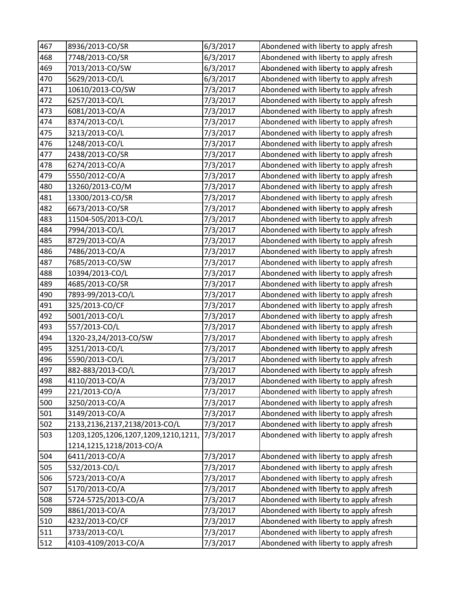| 467 | 8936/2013-CO/SR                     | 6/3/2017 | Abondened with liberty to apply afresh |
|-----|-------------------------------------|----------|----------------------------------------|
| 468 | 7748/2013-CO/SR                     | 6/3/2017 | Abondened with liberty to apply afresh |
| 469 | 7013/2013-CO/SW                     | 6/3/2017 | Abondened with liberty to apply afresh |
| 470 | 5629/2013-CO/L                      | 6/3/2017 | Abondened with liberty to apply afresh |
| 471 | 10610/2013-CO/SW                    | 7/3/2017 | Abondened with liberty to apply afresh |
| 472 | 6257/2013-CO/L                      | 7/3/2017 | Abondened with liberty to apply afresh |
| 473 | 6081/2013-CO/A                      | 7/3/2017 | Abondened with liberty to apply afresh |
| 474 | 8374/2013-CO/L                      | 7/3/2017 | Abondened with liberty to apply afresh |
| 475 | 3213/2013-CO/L                      | 7/3/2017 | Abondened with liberty to apply afresh |
| 476 | 1248/2013-CO/L                      | 7/3/2017 | Abondened with liberty to apply afresh |
| 477 | 2438/2013-CO/SR                     | 7/3/2017 | Abondened with liberty to apply afresh |
| 478 | 6274/2013-CO/A                      | 7/3/2017 | Abondened with liberty to apply afresh |
| 479 | 5550/2012-CO/A                      | 7/3/2017 | Abondened with liberty to apply afresh |
| 480 | 13260/2013-CO/M                     | 7/3/2017 | Abondened with liberty to apply afresh |
| 481 | 13300/2013-CO/SR                    | 7/3/2017 | Abondened with liberty to apply afresh |
| 482 | 6673/2013-CO/SR                     | 7/3/2017 | Abondened with liberty to apply afresh |
| 483 | 11504-505/2013-CO/L                 | 7/3/2017 | Abondened with liberty to apply afresh |
| 484 | 7994/2013-CO/L                      | 7/3/2017 | Abondened with liberty to apply afresh |
| 485 | 8729/2013-CO/A                      | 7/3/2017 | Abondened with liberty to apply afresh |
| 486 | 7486/2013-CO/A                      | 7/3/2017 | Abondened with liberty to apply afresh |
| 487 | 7685/2013-CO/SW                     | 7/3/2017 | Abondened with liberty to apply afresh |
| 488 | 10394/2013-CO/L                     | 7/3/2017 | Abondened with liberty to apply afresh |
| 489 | 4685/2013-CO/SR                     | 7/3/2017 | Abondened with liberty to apply afresh |
| 490 | 7893-99/2013-CO/L                   | 7/3/2017 | Abondened with liberty to apply afresh |
| 491 | 325/2013-CO/CF                      | 7/3/2017 | Abondened with liberty to apply afresh |
| 492 | 5001/2013-CO/L                      | 7/3/2017 | Abondened with liberty to apply afresh |
| 493 | 557/2013-CO/L                       | 7/3/2017 | Abondened with liberty to apply afresh |
| 494 | 1320-23,24/2013-CO/SW               | 7/3/2017 | Abondened with liberty to apply afresh |
| 495 | 3251/2013-CO/L                      | 7/3/2017 | Abondened with liberty to apply afresh |
| 496 | 5590/2013-CO/L                      | 7/3/2017 | Abondened with liberty to apply afresh |
| 497 | 882-883/2013-CO/L                   | 7/3/2017 | Abondened with liberty to apply afresh |
| 498 | 4110/2013-CO/A                      | 7/3/2017 | Abondened with liberty to apply afresh |
| 499 | 221/2013-CO/A                       | 7/3/2017 | Abondened with liberty to apply afresh |
| 500 | 3250/2013-CO/A                      | 7/3/2017 | Abondened with liberty to apply afresh |
| 501 | 3149/2013-CO/A                      | 7/3/2017 | Abondened with liberty to apply afresh |
| 502 | 2133,2136,2137,2138/2013-CO/L       | 7/3/2017 | Abondened with liberty to apply afresh |
| 503 | 1203,1205,1206,1207,1209,1210,1211, | 7/3/2017 | Abondened with liberty to apply afresh |
|     | 1214,1215,1218/2013-CO/A            |          |                                        |
| 504 | 6411/2013-CO/A                      | 7/3/2017 | Abondened with liberty to apply afresh |
| 505 | 532/2013-CO/L                       | 7/3/2017 | Abondened with liberty to apply afresh |
| 506 | 5723/2013-CO/A                      | 7/3/2017 | Abondened with liberty to apply afresh |
| 507 | 5170/2013-CO/A                      | 7/3/2017 | Abondened with liberty to apply afresh |
| 508 | 5724-5725/2013-CO/A                 | 7/3/2017 | Abondened with liberty to apply afresh |
| 509 | 8861/2013-CO/A                      | 7/3/2017 | Abondened with liberty to apply afresh |
| 510 | 4232/2013-CO/CF                     | 7/3/2017 | Abondened with liberty to apply afresh |
| 511 | 3733/2013-CO/L                      | 7/3/2017 | Abondened with liberty to apply afresh |
| 512 | 4103-4109/2013-CO/A                 | 7/3/2017 | Abondened with liberty to apply afresh |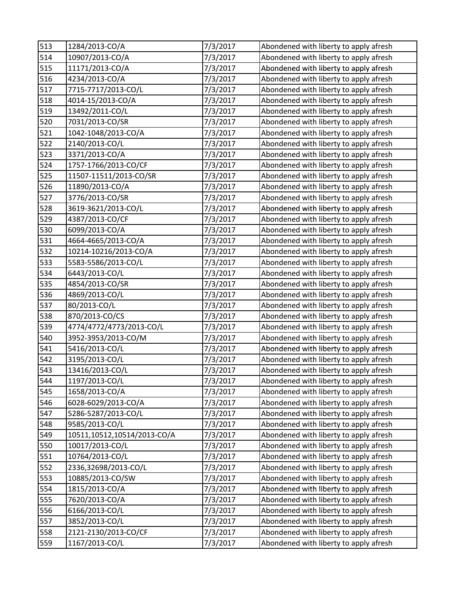| 513 | 1284/2013-CO/A              | 7/3/2017 | Abondened with liberty to apply afresh |
|-----|-----------------------------|----------|----------------------------------------|
| 514 | 10907/2013-CO/A             | 7/3/2017 | Abondened with liberty to apply afresh |
| 515 | 11171/2013-CO/A             | 7/3/2017 | Abondened with liberty to apply afresh |
| 516 | 4234/2013-CO/A              | 7/3/2017 | Abondened with liberty to apply afresh |
| 517 | 7715-7717/2013-CO/L         | 7/3/2017 | Abondened with liberty to apply afresh |
| 518 | 4014-15/2013-CO/A           | 7/3/2017 | Abondened with liberty to apply afresh |
| 519 | 13492/2011-CO/L             | 7/3/2017 | Abondened with liberty to apply afresh |
| 520 | 7031/2013-CO/SR             | 7/3/2017 | Abondened with liberty to apply afresh |
| 521 | 1042-1048/2013-CO/A         | 7/3/2017 | Abondened with liberty to apply afresh |
| 522 | 2140/2013-CO/L              | 7/3/2017 | Abondened with liberty to apply afresh |
| 523 | 3371/2013-CO/A              | 7/3/2017 | Abondened with liberty to apply afresh |
| 524 | 1757-1766/2013-CO/CF        | 7/3/2017 | Abondened with liberty to apply afresh |
| 525 | 11507-11511/2013-CO/SR      | 7/3/2017 | Abondened with liberty to apply afresh |
| 526 | 11890/2013-CO/A             | 7/3/2017 | Abondened with liberty to apply afresh |
| 527 | 3776/2013-CO/SR             | 7/3/2017 | Abondened with liberty to apply afresh |
| 528 | 3619-3621/2013-CO/L         | 7/3/2017 | Abondened with liberty to apply afresh |
| 529 | 4387/2013-CO/CF             | 7/3/2017 | Abondened with liberty to apply afresh |
| 530 | 6099/2013-CO/A              | 7/3/2017 | Abondened with liberty to apply afresh |
| 531 | 4664-4665/2013-CO/A         | 7/3/2017 | Abondened with liberty to apply afresh |
| 532 | 10214-10216/2013-CO/A       | 7/3/2017 | Abondened with liberty to apply afresh |
| 533 | 5583-5586/2013-CO/L         | 7/3/2017 | Abondened with liberty to apply afresh |
| 534 | 6443/2013-CO/L              | 7/3/2017 | Abondened with liberty to apply afresh |
| 535 | 4854/2013-CO/SR             | 7/3/2017 | Abondened with liberty to apply afresh |
| 536 | 4869/2013-CO/L              | 7/3/2017 | Abondened with liberty to apply afresh |
| 537 | 80/2013-CO/L                | 7/3/2017 | Abondened with liberty to apply afresh |
| 538 | 870/2013-CO/CS              | 7/3/2017 | Abondened with liberty to apply afresh |
| 539 | 4774/4772/4773/2013-CO/L    | 7/3/2017 | Abondened with liberty to apply afresh |
| 540 | 3952-3953/2013-CO/M         | 7/3/2017 | Abondened with liberty to apply afresh |
| 541 | 5416/2013-CO/L              | 7/3/2017 | Abondened with liberty to apply afresh |
| 542 | 3195/2013-CO/L              | 7/3/2017 | Abondened with liberty to apply afresh |
| 543 | 13416/2013-CO/L             | 7/3/2017 | Abondened with liberty to apply afresh |
| 544 | 1197/2013-CO/L              | 7/3/2017 | Abondened with liberty to apply afresh |
| 545 | 1658/2013-CO/A              | 7/3/2017 | Abondened with liberty to apply afresh |
| 546 | 6028-6029/2013-CO/A         | 7/3/2017 | Abondened with liberty to apply afresh |
| 547 | 5286-5287/2013-CO/L         | 7/3/2017 | Abondened with liberty to apply afresh |
| 548 | 9585/2013-CO/L              | 7/3/2017 | Abondened with liberty to apply afresh |
| 549 | 10511,10512,10514/2013-CO/A | 7/3/2017 | Abondened with liberty to apply afresh |
| 550 | 10017/2013-CO/L             | 7/3/2017 | Abondened with liberty to apply afresh |
| 551 | 10764/2013-CO/L             | 7/3/2017 | Abondened with liberty to apply afresh |
| 552 | 2336,32698/2013-CO/L        | 7/3/2017 | Abondened with liberty to apply afresh |
| 553 | 10885/2013-CO/SW            | 7/3/2017 | Abondened with liberty to apply afresh |
| 554 | 1815/2013-CO/A              | 7/3/2017 | Abondened with liberty to apply afresh |
| 555 | 7620/2013-CO/A              | 7/3/2017 | Abondened with liberty to apply afresh |
| 556 | 6166/2013-CO/L              | 7/3/2017 | Abondened with liberty to apply afresh |
| 557 | 3852/2013-CO/L              | 7/3/2017 | Abondened with liberty to apply afresh |
| 558 | 2121-2130/2013-CO/CF        | 7/3/2017 | Abondened with liberty to apply afresh |
| 559 | 1167/2013-CO/L              | 7/3/2017 | Abondened with liberty to apply afresh |